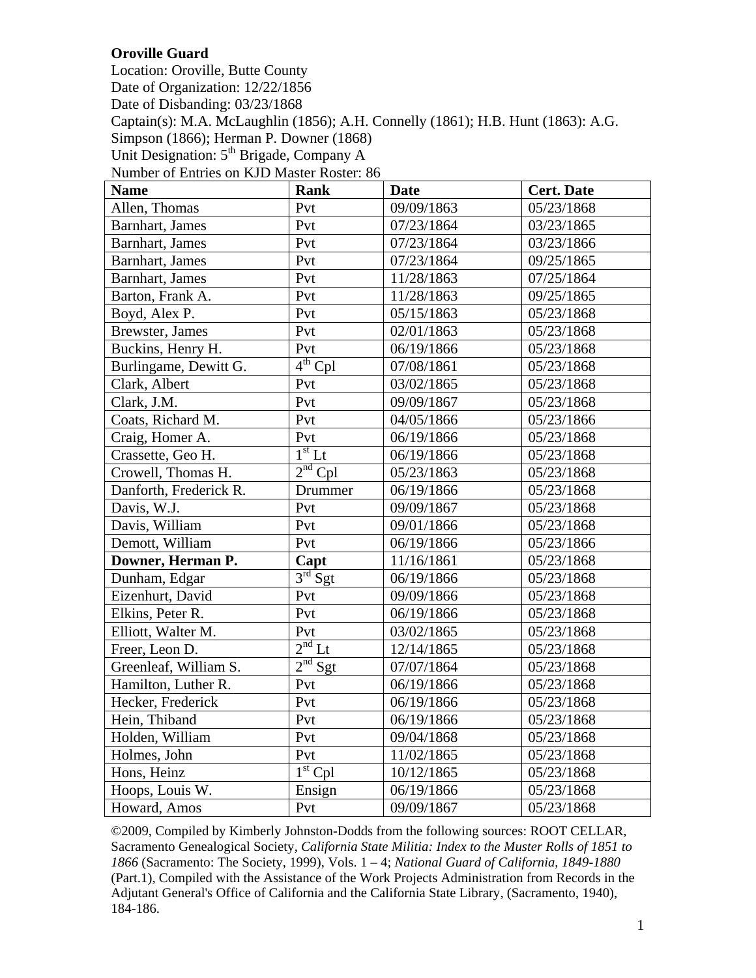## **Oroville Guard**

Location: Oroville, Butte County Date of Organization: 12/22/1856 Date of Disbanding: 03/23/1868 Captain(s): M.A. McLaughlin (1856); A.H. Connelly (1861); H.B. Hunt (1863): A.G. Simpson (1866); Herman P. Downer (1868) Unit Designation: 5<sup>th</sup> Brigade, Company A Number of Entries on KJD Master Roster: 86

| Tumber of Emilies on RJD Master Roster. 60<br><b>Name</b> | Rank         | Date       | <b>Cert. Date</b> |
|-----------------------------------------------------------|--------------|------------|-------------------|
| Allen, Thomas                                             | Pvt          | 09/09/1863 | 05/23/1868        |
| Barnhart, James                                           | Pvt          | 07/23/1864 | 03/23/1865        |
| Barnhart, James                                           | Pvt          | 07/23/1864 | 03/23/1866        |
| Barnhart, James                                           | Pvt          | 07/23/1864 | 09/25/1865        |
| Barnhart, James                                           | Pvt          | 11/28/1863 | 07/25/1864        |
| Barton, Frank A.                                          | Pvt          | 11/28/1863 | 09/25/1865        |
| Boyd, Alex P.                                             | Pvt          | 05/15/1863 | 05/23/1868        |
| <b>Brewster</b> , James                                   | Pvt          | 02/01/1863 | 05/23/1868        |
| Buckins, Henry H.                                         | Pvt          | 06/19/1866 | 05/23/1868        |
| Burlingame, Dewitt G.                                     | $4^{th}$ Cpl | 07/08/1861 | 05/23/1868        |
| Clark, Albert                                             | Pvt          | 03/02/1865 | 05/23/1868        |
| Clark, J.M.                                               | Pvt          | 09/09/1867 | 05/23/1868        |
| Coats, Richard M.                                         | Pvt          | 04/05/1866 | 05/23/1866        |
| Craig, Homer A.                                           | Pvt          | 06/19/1866 | 05/23/1868        |
| Crassette, Geo H.                                         | $1st$ Lt     | 06/19/1866 | 05/23/1868        |
| Crowell, Thomas H.                                        | $2nd$ Cpl    | 05/23/1863 | 05/23/1868        |
| Danforth, Frederick R.                                    | Drummer      | 06/19/1866 | 05/23/1868        |
| Davis, W.J.                                               | Pvt          | 09/09/1867 | 05/23/1868        |
| Davis, William                                            | Pvt          | 09/01/1866 | 05/23/1868        |
| Demott, William                                           | Pvt          | 06/19/1866 | 05/23/1866        |
| Downer, Herman P.                                         | Capt         | 11/16/1861 | 05/23/1868        |
| Dunham, Edgar                                             | $3rd$ Sgt    | 06/19/1866 | 05/23/1868        |
| Eizenhurt, David                                          | Pvt          | 09/09/1866 | 05/23/1868        |
| Elkins, Peter R.                                          | Pvt          | 06/19/1866 | 05/23/1868        |
| Elliott, Walter M.                                        | Pvt          | 03/02/1865 | 05/23/1868        |
| Freer, Leon D.                                            | $2nd$ Lt     | 12/14/1865 | 05/23/1868        |
| Greenleaf, William S.                                     | $2nd$ Sgt    | 07/07/1864 | 05/23/1868        |
| Hamilton, Luther R.                                       | Pvt          | 06/19/1866 | 05/23/1868        |
| Hecker, Frederick                                         | Pvt          | 06/19/1866 | 05/23/1868        |
| Hein, Thiband                                             | Pvt          | 06/19/1866 | 05/23/1868        |
| Holden, William                                           | Pvt          | 09/04/1868 | 05/23/1868        |
| Holmes, John                                              | Pvt          | 11/02/1865 | 05/23/1868        |
| Hons, Heinz                                               | $1st$ Cpl    | 10/12/1865 | 05/23/1868        |
| Hoops, Louis W.                                           | Ensign       | 06/19/1866 | 05/23/1868        |
| Howard, Amos                                              | Pvt          | 09/09/1867 | 05/23/1868        |

©2009, Compiled by Kimberly Johnston-Dodds from the following sources: ROOT CELLAR, Sacramento Genealogical Society, *California State Militia: Index to the Muster Rolls of 1851 to 1866* (Sacramento: The Society, 1999), Vols. 1 – 4; *National Guard of California*, *1849-1880* (Part.1), Compiled with the Assistance of the Work Projects Administration from Records in the Adjutant General's Office of California and the California State Library, (Sacramento, 1940), 184-186.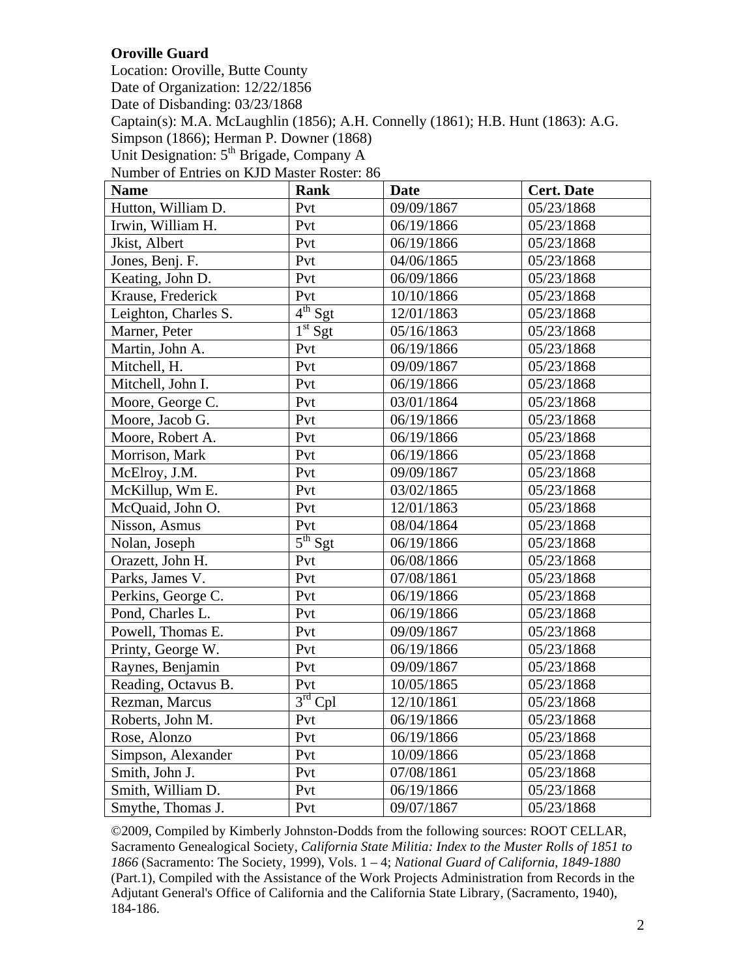## **Oroville Guard**

Location: Oroville, Butte County Date of Organization: 12/22/1856 Date of Disbanding: 03/23/1868 Captain(s): M.A. McLaughlin (1856); A.H. Connelly (1861); H.B. Hunt (1863): A.G. Simpson (1866); Herman P. Downer (1868) Unit Designation: 5<sup>th</sup> Brigade, Company A Number of Entries on KJD Master Roster: 86

| TVALIDUL OI LIIUTUS OII IND IVIASIUI INOSIUI, OO<br><b>Name</b> | Rank      | Date       | <b>Cert. Date</b> |
|-----------------------------------------------------------------|-----------|------------|-------------------|
| Hutton, William D.                                              | Pvt       | 09/09/1867 | 05/23/1868        |
| Irwin, William H.                                               | Pvt       | 06/19/1866 | 05/23/1868        |
| Jkist, Albert                                                   | Pvt       | 06/19/1866 | 05/23/1868        |
| Jones, Benj. F.                                                 | Pvt       | 04/06/1865 | 05/23/1868        |
| Keating, John D.                                                | Pvt       | 06/09/1866 | 05/23/1868        |
| Krause, Frederick                                               | Pvt       | 10/10/1866 | 05/23/1868        |
| Leighton, Charles S.                                            | $4th$ Sgt | 12/01/1863 | 05/23/1868        |
| Marner, Peter                                                   | $1st$ Sgt | 05/16/1863 | 05/23/1868        |
| Martin, John A.                                                 | Pvt       | 06/19/1866 | 05/23/1868        |
| Mitchell, H.                                                    | Pvt       | 09/09/1867 | 05/23/1868        |
| Mitchell, John I.                                               | Pvt       | 06/19/1866 | 05/23/1868        |
| Moore, George C.                                                | Pvt       | 03/01/1864 | 05/23/1868        |
| Moore, Jacob G.                                                 | Pvt       | 06/19/1866 | 05/23/1868        |
| Moore, Robert A.                                                | Pvt       | 06/19/1866 | 05/23/1868        |
| Morrison, Mark                                                  | Pvt       | 06/19/1866 | 05/23/1868        |
| McElroy, J.M.                                                   | Pvt       | 09/09/1867 | 05/23/1868        |
| McKillup, Wm E.                                                 | Pvt       | 03/02/1865 | 05/23/1868        |
| McQuaid, John O.                                                | Pvt       | 12/01/1863 | 05/23/1868        |
| Nisson, Asmus                                                   | Pvt       | 08/04/1864 | 05/23/1868        |
| Nolan, Joseph                                                   | $5th$ Sgt | 06/19/1866 | 05/23/1868        |
| Orazett, John H.                                                | Pvt       | 06/08/1866 | 05/23/1868        |
| Parks, James V.                                                 | Pvt       | 07/08/1861 | 05/23/1868        |
| Perkins, George C.                                              | Pvt       | 06/19/1866 | 05/23/1868        |
| Pond, Charles L.                                                | Pvt       | 06/19/1866 | 05/23/1868        |
| Powell, Thomas E.                                               | Pvt       | 09/09/1867 | 05/23/1868        |
| Printy, George W.                                               | Pvt       | 06/19/1866 | 05/23/1868        |
| Raynes, Benjamin                                                | Pvt       | 09/09/1867 | 05/23/1868        |
| Reading, Octavus B.                                             | Pvt       | 10/05/1865 | 05/23/1868        |
| Rezman, Marcus                                                  | $3rd$ Cpl | 12/10/1861 | 05/23/1868        |
| Roberts, John M.                                                | Pvt       | 06/19/1866 | 05/23/1868        |
| Rose, Alonzo                                                    | Pvt       | 06/19/1866 | 05/23/1868        |
| Simpson, Alexander                                              | Pvt       | 10/09/1866 | 05/23/1868        |
| Smith, John J.                                                  | Pvt       | 07/08/1861 | 05/23/1868        |
| Smith, William D.                                               | Pvt       | 06/19/1866 | 05/23/1868        |
| Smythe, Thomas J.                                               | Pvt       | 09/07/1867 | 05/23/1868        |

©2009, Compiled by Kimberly Johnston-Dodds from the following sources: ROOT CELLAR, Sacramento Genealogical Society, *California State Militia: Index to the Muster Rolls of 1851 to 1866* (Sacramento: The Society, 1999), Vols. 1 – 4; *National Guard of California*, *1849-1880* (Part.1), Compiled with the Assistance of the Work Projects Administration from Records in the Adjutant General's Office of California and the California State Library, (Sacramento, 1940), 184-186.